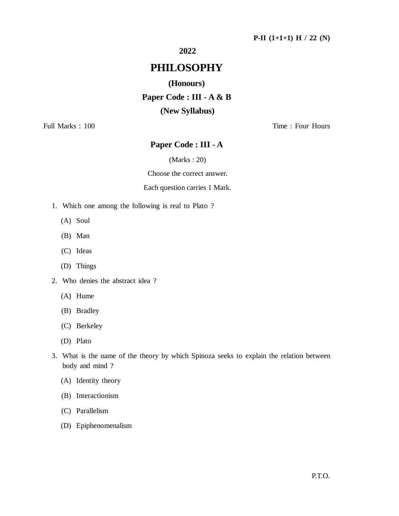## **2022**

# **PHILOSOPHY**

### **(Honours)**

**Paper Code : III - A & B (New Syllabus)**

Full Marks : 100 Time : Four Hours

## **Paper Code : III - A**

(Marks : 20)

Choose the correct answer.

#### Each question carries 1 Mark.

- 1. Which one among the following is real to Plato ?
	- (A) Soul
	- (B) Man
	- (C) Ideas
	- (D) Things
- 2. Who denies the abstract idea ?
	- (A) Hume
	- (B) Bradley
	- (C) Berkeley
	- (D) Plato
- 3. What is the name of the theory by which Spinoza seeks to explain the relation between body and mind ?
	- (A) Identity theory
	- (B) Interactionism
	- (C) Parallelism
	- (D) Epiphenomenalism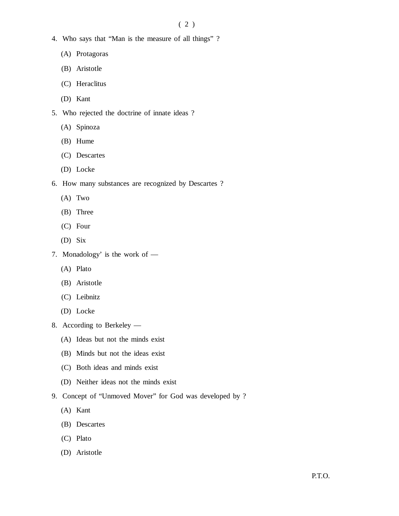- 4. Who says that "Man is the measure of all things" ?
	- (A) Protagoras
	- (B) Aristotle
	- (C) Heraclitus
	- (D) Kant
- 5. Who rejected the doctrine of innate ideas ?
	- (A) Spinoza
	- (B) Hume
	- (C) Descartes
	- (D) Locke
- 6. How many substances are recognized by Descartes ?
	- (A) Two
	- (B) Three
	- (C) Four
	- (D) Six
- 7. Monadology' is the work of
	- (A) Plato
	- (B) Aristotle
	- (C) Leibnitz
	- (D) Locke
- 8. According to Berkeley
	- (A) Ideas but not the minds exist
	- (B) Minds but not the ideas exist
	- (C) Both ideas and minds exist
	- (D) Neither ideas not the minds exist
- 9. Concept of "Unmoved Mover" for God was developed by ?
	- (A) Kant
	- (B) Descartes
	- (C) Plato
	- (D) Aristotle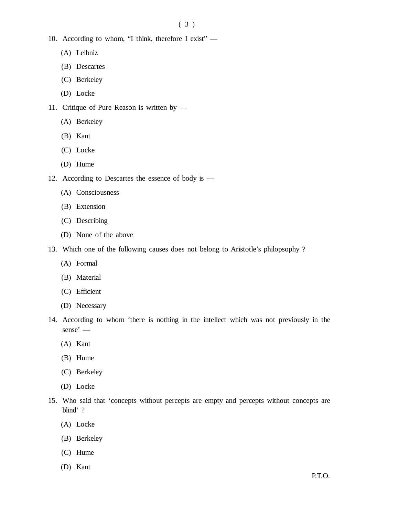- 10. According to whom, "I think, therefore I exist"
	- (A) Leibniz
	- (B) Descartes
	- (C) Berkeley
	- (D) Locke
- 11. Critique of Pure Reason is written by
	- (A) Berkeley
	- (B) Kant
	- (C) Locke
	- (D) Hume
- 12. According to Descartes the essence of body is
	- (A) Consciousness
	- (B) Extension
	- (C) Describing
	- (D) None of the above
- 13. Which one of the following causes does not belong to Aristotle's philopsophy ?
	- (A) Formal
	- (B) Material
	- (C) Efficient
	- (D) Necessary
- 14. According to whom 'there is nothing in the intellect which was not previously in the sense' —
	- (A) Kant
	- (B) Hume
	- (C) Berkeley
	- (D) Locke
- 15. Who said that 'concepts without percepts are empty and percepts without concepts are blind' ?
	- (A) Locke
	- (B) Berkeley
	- (C) Hume
	- (D) Kant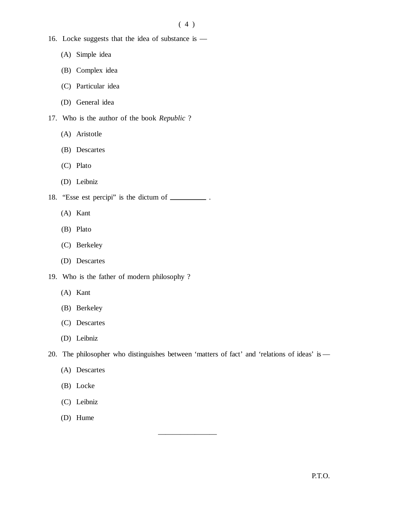- 16. Locke suggests that the idea of substance is
	- (A) Simple idea
	- (B) Complex idea
	- (C) Particular idea
	- (D) General idea
- 17. Who is the author of the book *Republic* ?
	- (A) Aristotle
	- (B) Descartes
	- (C) Plato
	- (D) Leibniz
- 18. "Esse est percipi" is the dictum of \_\_\_\_\_\_\_\_\_.
	- (A) Kant
	- (B) Plato
	- (C) Berkeley
	- (D) Descartes
- 19. Who is the father of modern philosophy ?
	- (A) Kant
	- (B) Berkeley
	- (C) Descartes
	- (D) Leibniz
- 20. The philosopher who distinguishes between 'matters of fact' and 'relations of ideas' is —

————————

- (A) Descartes
- (B) Locke
- (C) Leibniz
- (D) Hume